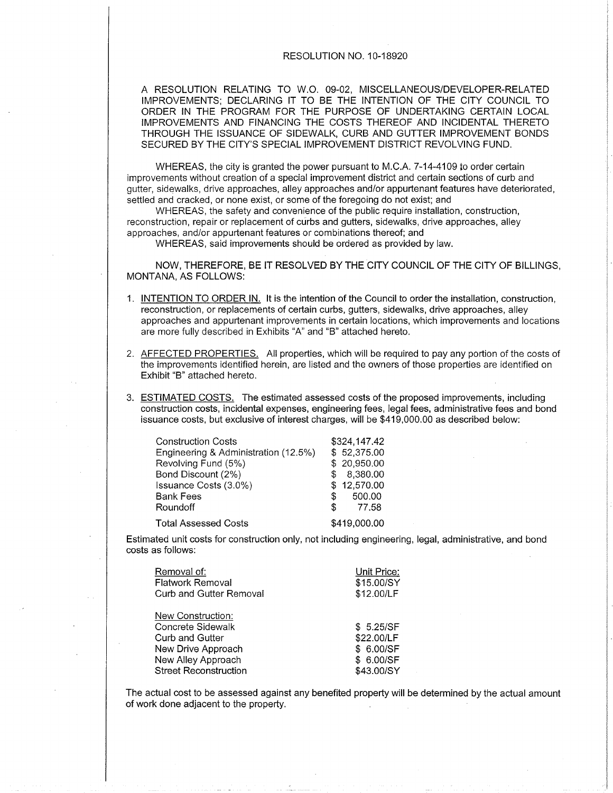### RESOLUTION NO. 10-18920

A RESOLUTION RELATING TO W.O. 09-02, MISCELLANEOUS/DEVELOPER-RELATED IMPROVEMENTS; DECLARING lT TO BE THE INTENTION OF THE CITY COUNCIL TO ORDER IN THE PROGRAM FOR THE PURPOSE OF UNDERTAKING CERTAIN LOCAL IMPROVEMENTS AND FINANCING THE COSTS THEREOF AND INCIDENTAL THERETO THROUGH THE ISSUANCE OF SIDEWALK, CURB AND GUTTER IMPROVEMENT BONDS SECURED BY THE CITY'S SPECIAL IMPROVEMENT DISTRICT REVOLVING FUND.

WHEREAS, the city is granted the power pursuant to M.C.A. 7-14-4109 to order certain improvements without creation of a special improvement district and ceftain sections of curb and gutter, sidewalks, drive approaches, alley approaches and/or appurtenantfeatures have deteriorated, settled and cracked, or none exist, or some of the foregoing do not exist; and

WHEREAS, the safety and convenience of the public require installation, construction, reconstruction, repair or replacement of curbs and gutters, sidewalks, drive approaches, alley approaches, and/or appurtenant features or combinations thereof; and

WHEREAS, said improvements should be ordered as provided by law.

NOW, THEREFORE, BE IT RESOLVED BY THE CITY COUNCIL OF THE CITY OF BILLINGS, MONTANA. AS FOLLOWS:

- 1. INTENTION TO ORDER IN. It is the intention of the Council to order the installation, construction, reconstruction, or replacements of certain curbs, gutters, sidewalks, drive approaches, alley approaches and appurtenant improvements in certain locations, which improvements and locations are more fully described in Exhibits "A" and "B" attached hereto.
- 2. AFFECTED PROPERTIES. All properties, which will be required to pay any portion of the costs of the improvements identified herein, are listed and the owners of those properties are identified on Exhibit "8" attached hereto.
- 3. ESTIMATED COSTS. The estimated assessed costs of the proposed improvements, including construction costs, incidental expenses, engineering fees, legal fees, administrative fees and bond issuance costs, but exclusive of interest charges, will be \$419,000.00 as described below:

| <b>Construction Costs</b><br>Engineering & Administration (12.5%) |     | \$324,147.42<br>\$52,375.00 |
|-------------------------------------------------------------------|-----|-----------------------------|
| Revolving Fund (5%)<br>Bond Discount (2%)                         |     | \$20,950.00<br>8,380.00     |
| Issuance Costs (3.0%)                                             |     | \$12,570.00                 |
| <b>Bank Fees</b>                                                  | SS. | 500.00                      |
| Roundoff                                                          | SS. | 77.58                       |
| <b>Total Assessed Costs</b>                                       |     | \$419,000.00                |

Estimated unit costs for construction only, not including engineering, legal, administrative, and bond costs as follows:

| Removal of:<br><b>Flatwork Removal</b><br>Curb and Gutter Removal | Unit Price:<br>\$15.00/SY<br>\$12.00/LF |
|-------------------------------------------------------------------|-----------------------------------------|
| New Construction:                                                 |                                         |
| Concrete Sidewalk                                                 | \$5.25/SF                               |
| Curb and Gutter                                                   | \$22.00/LF                              |
| New Drive Approach                                                | \$ 6.00/SF                              |
| New Alley Approach                                                | \$ 6.00/SF                              |
| <b>Street Reconstruction</b>                                      | \$43.00/SY                              |

The actual cost to be assessed against any benefited property will be determined by the actual amount of work done adjacent to the property.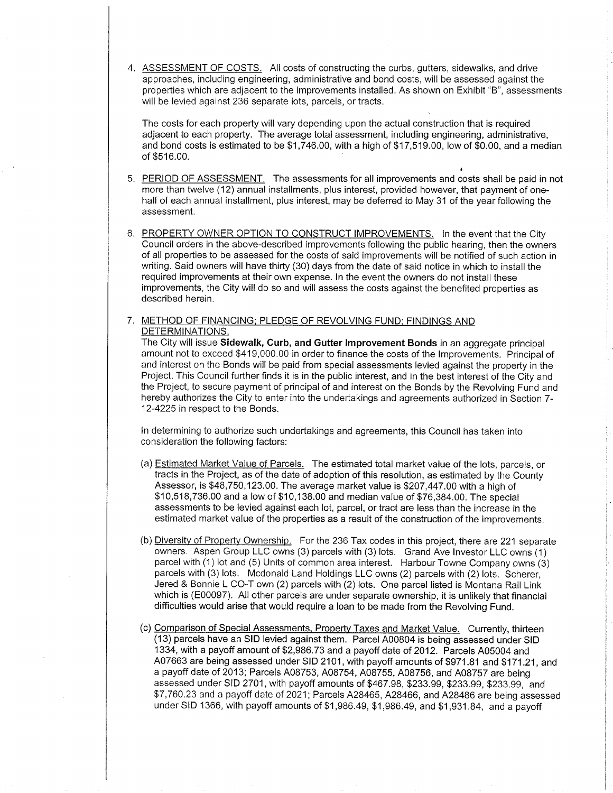4. ASSESSMENT OF COSTS. All costs of constructing the curbs, gutters, sidewalks, and drive approaches, including engineering, administrative and bond costs, will be assessed against the properties which are adjacent to the improvements installed. As shown on Exhibit "8", assessments will be levied against 236 separate lots, parcels, or tracts.

The costs for each property will vary depending upon the actual construction that is required adjacent to each property. The average total assessment, including engineering, administrative, and bond costs is estimated to be \$1 ,746.00, with a high of \$17,519.00, low of \$0.00, and a median of \$516.00.

- 5. <u>PERIOD OF ASSESSMENT.</u> The assessments for all improvements and costs shall be paid in not more than twelve (12) annual installments, plus interest, provided however, that payment of onehalf of each annual installment, plus interest, may be deferred to May 31 of the year following the assessment.
- 6. PROPERTY OWNER OPTION TO CONSTRUCT IMPROVEMENTS. In the event that the City Council orders in the above-described improvements following the public hearing, then the owners of all propefiies to be assessed for the costs of said improvements will be notified of such action in writing. Said owners will have thitty (30) days from the date of said notice in which to install the required improvements at their own expense. In the event the owners do not install these improvements, the City will do so and will assess the costs against the benefited propefties as described herein.

## 7. METHOD OF FINANCING; PLEDGE OF REVOLVING FUND; FINDINGS AND DETERMINATIONS.

The City will issue Sidewalk, Curb, and Gutter Improvement Bonds in an aggregate principal amount not to exceed \$419,000.00 in order to finance the costs of the lmprovements. Principal of and interest on the Bonds will be paid from special assessments levied against the properly in the Project. This Council further finds it is in the public interest, and in the best interest of the City and the Project, to secure payment of principal of and interest on the Bonds by the Revolving Fund and hereby authorizes the City to enter into the underlakings and agreements authorized in Section 7- 12-4225 in respect to the Bonds.

ln determining to authorize such undertakings and agreements, this Council has taken into consideration the following factors:

- (a) Estimated Market Value of Parcels. The estimated total market value of the lots, parcels, or tracts in the Project, as of the date of adoption of this resolution, as estimated by the County Assessor, is \$48,750,123.00. The average market value is \$207,447.00 with a high of \$10,518,736.00 and a low of \$10,138.00 and median value of \$76,384.00. The special assessments to be levied against each lot, parcel, or tract are less than the increase in the estimated market value of the properties as a result of the construction of the improvemenrs.
- (b) Diversity of Property Ownership. For the 236 Tax codes in this project, there are 221 separate owners. Aspen Group LLC owns (3) parcels with (3) lots. Grand Ave Investor LLC owns (1) parcel with (1) lot and (5) Units of common area interest. Harbour Towne Company owns (3) parcels with (3) lots. Mcdonald Land Holdings LLC owns (2) parcels with (2) lots. Scherer, Jered & Bonnie L CO-T own (2) parcels with (2) lots. One parcel listed is Montana Rail Link which is (E00097). All other parcels are under separate ownership, it is unlikely that financial difficulties would arise that would require a loan to be made from the Revolving Fund.
- (c) Comparison of Special Assessments, Property Taxes and Market Value. Currently, thirteen (13) parcels have an SID levied against them. Parcel 400804 is being assessed under SID 1334, with a payoff amount of \$2,986.73 and a payoff date of 2012. Parcels 405004 and 407663 are being assessed under SID 2101, with payoff amounts of \$971 .81 and \$171.21, and a payoff date of 2013; Parcels A08753, A08754, A08755, A08756, and A08757 are being assessed under SID 2701, with payoff amounts of \$467.98, \$233.99, \$233.99, \$233.99, and \$7,760.23 and a payoff date of 2021; Parcels A28465, A28466, and A28486 are being assessed under SID 1366, with payoff amounts of \$1,986.49, \$1,986.49, and \$1,931.84, and a payoff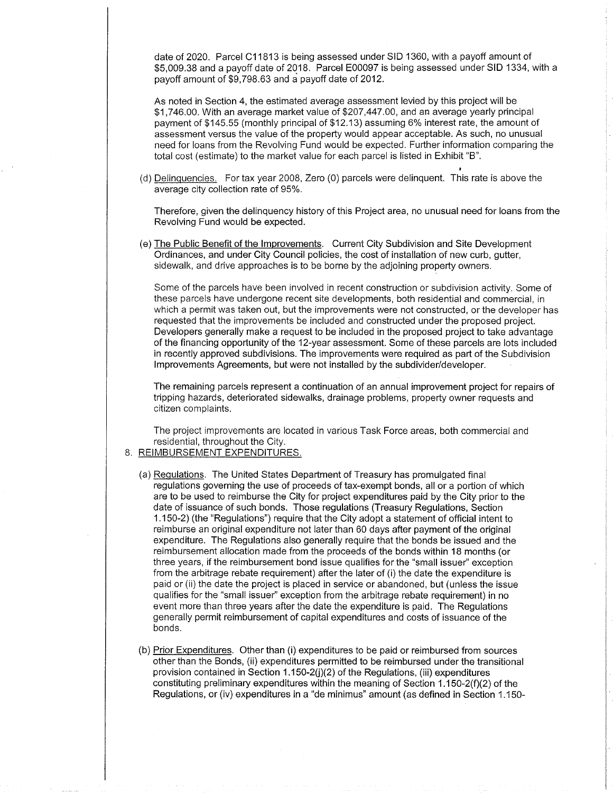date of 2020. Parcel C11813 is being assessed under SID 1360, with a payoff amount of \$5,009.38 and a payoff date of 2018. Parcel E00097 is being assessed under SID 1334, with a payoff amount of \$9,798.63 and a payoff date of 2012.

As noted in Section 4, the estimated average assessment levied by this project will be \$1,746.00. With an average market value of \$207,447.00, and an average yearly principal payment of \$145.55 (monthly principal of \$12.13) assuming 6% interest rate, the amount of assessment versus the value of the property would appear acceptable. As such, no unusual need for loans from the Revolving Fund would be expected. Fufther information comparing the total cost (estimate) to the market value for each parcel is listed in Exhibit "8".

(d) Delinquencies. For tax year 2008, Zero (0) parcels were delinquent. This rate is above the average city collection rate of 95%.

Therefore, given the delinquency history of this Project area, no unusual need for loans from the Revolving Fund would be expected.

(e) The Public Benefit of the lmprovements. Current City Subdivision and Site Development Ordinances, and under City Council policies, the cost of installation of new curb, gutter, sidewalk, and drive approaches is to be borne by the adjoining property owners.

Some of the parcels have been involved in recent construction or subdivision activity. Some of these parcels have undergone recent site developments, both residential and commercial, in which a permit was taken out, but the improvements were not constructed, or the developer has requested that the improvements be included and constructed under the proposed project. Developers generally make a request to be included in the proposed project to take advantage of the financing opportunity of the 12-year assessment. Some of these parcels are lots included in recently approved subdivisions. The improvements were required as part of the Subdivision lmprovements Agreements, but were not installed by the subdivider/developer.

The remaining parcels represent a continuation of an annual improvement project for repairs of tripping hazards, deteriorated sidewalks, drainage problems, properly owner requests and citizen complaints.

The project improvements are located in various Task Force areas, both commercial and residential, throughout the City.

#### 8. <u>REIMBURSEMENT EXPENDITURES</u>

- (a) Regulations. The United States Department of Treasury has promulgated final regulations governing the use of proceeds of tax-exempt bonds, all or a poftion of which are to be used to reimburse the City for project expenditures paid by the City prior to the date of issuance of such bonds. Those regulations (Treasury Regulations, Section <sup>1</sup>.150-2) (the "Regulations") require that the City adopt a statement of official intent to reimburse an original expenditure not later than 60 days after payment of the original expenditure. The Regulations also generally require that the bonds be issued and the reimbursement allocation made from the proceeds of the bonds within 18 months (or three years, if the reimbursement bond issue qualifies for the "small issuer" exception from the arbitrage rebate requirement) after the later of (i) the date the expenditure is paid or (ii) the date the project is placed in service or abandoned, but (unless the issue qualifies for the "small issuer" exception from the arbitrage rebate requirement) in no event more than three years after the date the expenditure is paid. The Regulations generally permit reimbursement of capital expenditures and costs of issuance of the bonds.
- (b) Prior Expenditures. Other than (i) expenditures to be paid or reimbursed from sources other than the Bonds, (ii) expenditures permitted to be reimbursed under the transitional provision contained in Section 1.150-2( $j(2)$  of the Regulations, (iii) expenditures constituting preliminary expenditures within the meaning of Section 1.150-2(f)(2) of the Regulations, or (iv) expenditures in a "de minimus" amount (as defined in Section 1.150-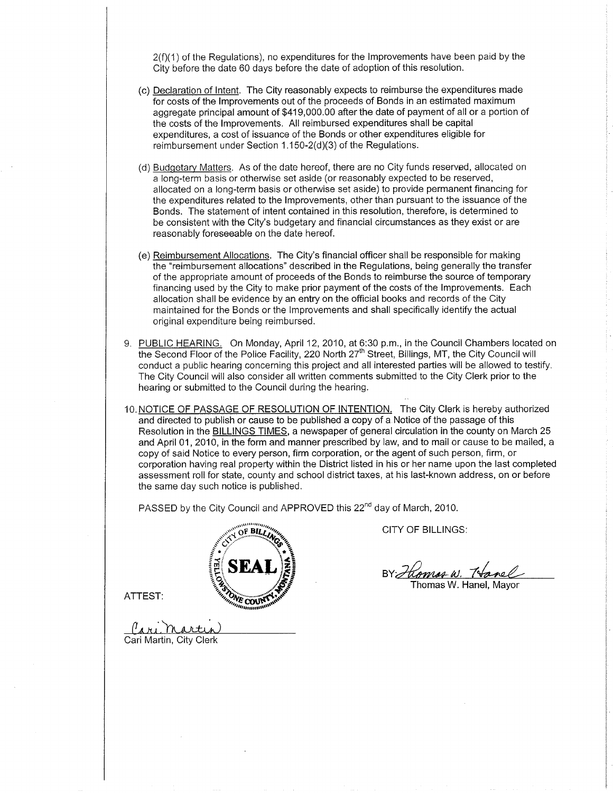$2(f)(1)$  of the Regulations), no expenditures for the Improvements have been paid by the City before the date 60 days before the date of adoption of this resolution.

- (c) Declaration of lntent. The City reasonably expects to reimburse the expenditures made for costs of the lmprovements out of the proceeds of Bonds in an estimated maximum aggregate principal amount of \$419,000.00 after the date of payment of all or a portion of the costs of the lmprovements. All reimbursed expenditures shall be capital expenditures, a cost of issuance of the Bonds or other expenditures eligible for reimbursement under Section  $1.150 - 2(d)(3)$  of the Regulations.
- (d) Budqetarv Matters. As of the date hereof, there are no City funds reserved, allocated on a long-term basis or otherwise set aside (or reasonably expected to be reserved, allocated on a long-term basis or otherwise set aside) to provide permanent financing for the expenditures related to the lmprovements, other than pursuant to the issuance of the Bonds. The statement of intent contained in this resolution, therefore, is determined to be consistent with the City's budgetary and financial circumstances as they exist or are reasonably foreseeable on the date hereof.
- (e) Reimbursement Allocations. The City's financial officer shall be responsible for making the "reimbursement allocations" described in the Regulations, being generally the transfer of the appropriate amount of proceeds of the Bonds to reimburse the source of temporary financing used by the City to make prior payment of the costs of the lmprovements. Each allocation shall be evidence by an entry on the official books and records of the City maintained for the Bonds or the lmprovements and shall specifically identify the actual original expenditure being reimbursed.
- 9. PUBLIC HEARING. On Monday, April 12, 2010, at 6:30 p.m., in the Council Chambers located on the Second Floor of the Police Facility, 220 North 27<sup>th</sup> Street, Billings, MT, the City Council will conduct a public hearing concerning this project and all interested parties will be allowed to testify. The City Council will also consider all written comments submitted to the City Clerk prior to the hearing or submitted to the Council during the hearing.
- 10. NOTICE OF PASSAGE OF RESOLUTION OF INTENTION. The City Clerk is hereby authorized and directed to publish or cause to be published a copy of a Notice of the passage of this Resolution in the BILLINGS TIMES, a newspaper of general circulation in the county on March 25 and April 01,2010, in the form and manner prescribed by law, and to mail or cause to be mailed, a copy of said Notice to every person, firm corporation, or the agent of such person, firm, or corporation having real property within the District listed in his or her name upon the last completed assessment roll for state, county and school district taxes, at his last-known address, on or before the same day such notice is published.

PASSED by the City Council and APPROVED this 22<sup>nd</sup> day of March, 2010.



CITY OF BILLINGS:

Thomas W. Hanel, Mayor

ATTEST:

(I (ari Martin)<br>Cari Martin, City Clerk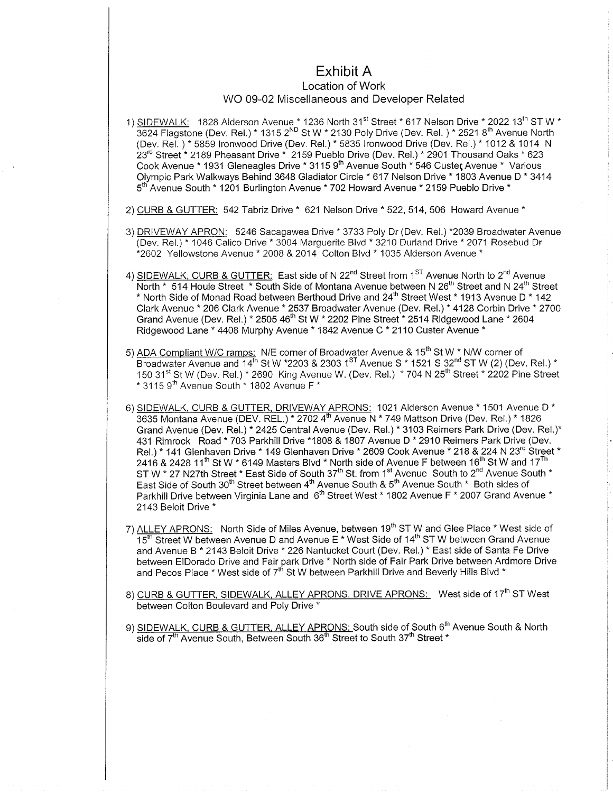# Exhibit A

## Location of Work WO 09-02 Miscellaneous and Developer Related

1) <u>SIDEWALK:</u> 1828 Alderson Avenue \* 1236 North 31<sup>st</sup> Street \* 617 Nelson Drive \* 2022 13<sup>th</sup> ST W \* <sup>3624</sup>Flagstone (Dev. Rel.) " 1315 2ND St W \* 2130 Poly Drive (Dev. Rel. ) - 2521 ïth Avenue North (Dev. Rel. ).\* 5859 Ironwood Drive (Dev. Rel.).\* 5835 Ironwood Drive (Dev. Rel.).\* 1012 & 1014 N 23<sup>rd</sup> Street \* 2189 Pheasant Drive \* 2159 Pueblo Drive (Dev. Rel.) \* 2901 Thousand Oaks \* 623 Cook Avenue \* 1931 Gleneagles Drive \* 3115 9<sup>th</sup> Avenue South \* 546 Custer, Avenue \* Various Ofympic Park Walkways Behind 3648 Gladiator Circle \* 617 Nelson Drive \* 1803 Avenue D \* <sup>3414</sup> 5<sup>th</sup> Avenue South \* 1201 Burlington Avenue \* 702 Howard Avenue \* 2159 Pueblo Drive \*

- 2) CURB & GUTTER: 542 Tabriz Drive \* 621 Nelson Drive \* 522, 514, 506 Howard Avenue \*
- 3) DRIVEWAY APRON: 5246 Sacagawea Drive \* 3733 Poly Dr (Dev. Rel.) \*2039 Broadwater Avenue (Dev. Rel.) \* 1046 Calico Drive \* 3004 Marguerite Blvd \* 3210 Durland Drive \* 2071 Rosebud Dr .<br>\*2602 Yellowstone Avenue \* 2008 & 2014 Colton Blvd \* 1035 Alderson Avenue \*
- 4) <u>SIDEWALK, CURB & GUTTER:</u> East side of N 22<sup>nd</sup> Street from 1<sup>sT</sup> Avenue North to 2<sup>nd</sup> Avenue<br>North \* 514 Houle Street \* South Side of Montana Avenue between N 26<sup>th</sup> Street and N 24<sup>th</sup> Street \* North Side of Monad Road between Berthoud Drive and  $24^{th}$  Street West \* 1913 Avenue D \* 142 Clark Avenue \* 206 Clark Avenue\* 2537 Broadwater Avenue (Dev. Rel.) \* 4128 Corbin Drive " <sup>2700</sup> Grand Avenue (Dev. Rel.) \* 2505 46<sup>th</sup> St W \* 2202 Pine Street \* 2514 Ridgewood Lane \* 2604 Ridgewood Lane \* 4408 Murphy Avenue " 1842 Avenue C \* 2110 Custer Avenue \*
- 5) ADA Compliant W/C ramps: N/E corner of Broadwater Avenue & 15<sup>th</sup> St W \* N/W corner of Broadwater Avenue and  $14^{th}$  St W  $*2203$  & 2303 1<sup>ST</sup> Avenue S  $*$  1521 S 32<sup>nd</sup> ST W (2) (Dev. Rel.)  $*$ 150 31<sup>st</sup> St W (Dev. Rel.) \* 2690 King Avenue W. (Dev. Rel.) \* 704 N 25<sup>th</sup> Street \* 2202 Pine Street  $*$  3115 9<sup>th</sup> Avenue South  $*$  1802 Avenue F $*$
- 6)SIDEWALK, CURB & GUTTER, DRIVEWAYAPRONS: 1021 Alderson Avenue \* 1501 Avenue D \* 3635 Montana Avenue (DEV. REL.) \* 2702 4<sup>th</sup> Avenue N \* 749 Mattson Drive (Dev. Rel.) \* 1826 Grand Avenue (Dev. Rel.) \* 2425 Central Avenue (Dev. Rel.) \* 3103 Reimers Park Drive (Dev. Rel.)\* 431 Rimrock Road \* 703 Parkhill Drive \*1808 & 1807 Avenue D \* 2910 Reimers Park Drive (Dev. Rel.) \* 141 Glenhaven Drive \* 149 Glenhaven Drive \* 2609 Cook Avenue \* 218 & 224 N 23<sup>rd</sup> Street \* 2416 & 2428 11<sup>th</sup> St W \* 6149 Masters Blvd \* North side of Avenue F between 16<sup>th</sup> St W and 17<sup>Th</sup> ST W \* 27 N27th Street \* East Side of South 37<sup>th</sup> St. from 1<sup>st</sup> Avenue South to 2<sup>nd</sup> Avenue South \* East Side of South 30<sup>th</sup> Street between 4<sup>th</sup> Avenue South & 5<sup>th</sup> Avenue South \* Both sides of Parkhill Drive between Virginia Lane and 6<sup>th</sup> Street West \* 1802 Avenue F \* 2007 Grand Avenue \* 2143 Beloit Drive \*
- 7) ALLEY APRONS: North Side of Miles Avenue, between 19<sup>th</sup> ST W and Glee Place \* West side of  $\frac{1}{15}$ th Street W between Avenue D and Avenue E \* West Side of 14<sup>th</sup> ST W between Grand Avenue and Avenue B \* 2143 Beloit Drive \* 226 Nantucket Court (Dev. Rel.) \* East side of Santa Fe Drive between ElDorado Drive and Fair park Drive \* North side of Fair Park Drive between Ardmore Drive and Pecos Place \* West side of 7<sup>th</sup> St W between Parkhill Drive and Beverly Hills Blvd \*
- 8) CURB & GUTTER, SIDEWALK, ALLEY APRONS, DRIVE APRONS: West side of 17<sup>th</sup> ST West between Colton Boulevard and Poly Drive \*
- 9) SIDEWALK, CURB & GUTTER, ALLEY APRONS: South side of South 6<sup>th</sup> Avenue South & North side of 7<sup>th</sup> Avenue South, Between South 36<sup>th</sup> Street to South 37<sup>th</sup> Street \*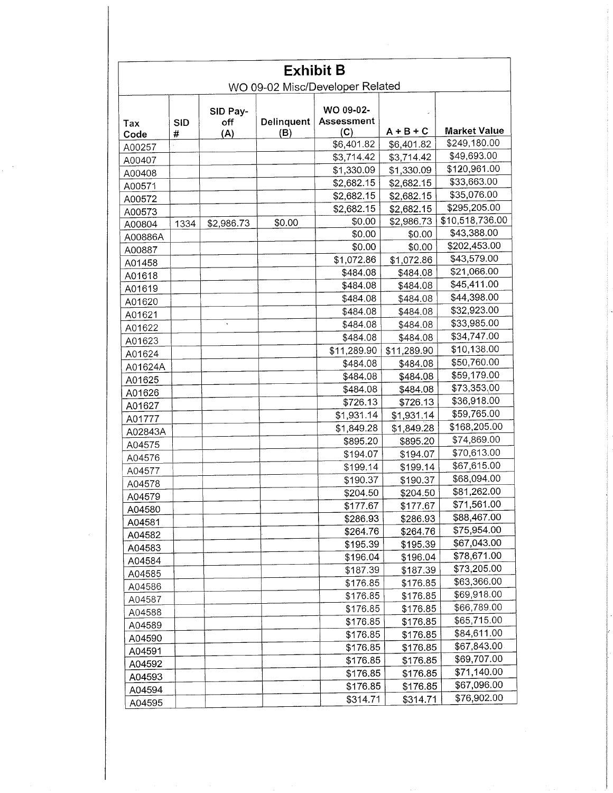|         | <b>Exhibit B</b><br>WO 09-02 Misc/Developer Related |                 |                   |                         |             |                     |  |
|---------|-----------------------------------------------------|-----------------|-------------------|-------------------------|-------------|---------------------|--|
| Tax     | <b>SID</b>                                          | SID Pay-<br>off | <b>Delinquent</b> | WO 09-02-<br>Assessment |             |                     |  |
| Code    | #                                                   | (A)             | (B)               | (C)                     | $A + B + C$ | <b>Market Value</b> |  |
| A00257  |                                                     |                 |                   | \$6,401.82              | \$6,401.82  | \$249,180.00        |  |
| A00407  |                                                     |                 |                   | \$3,714.42              | \$3,714.42  | \$49,693.00         |  |
| A00408  |                                                     |                 |                   | \$1,330.09              | \$1,330.09  | \$120,961.00        |  |
| A00571  |                                                     |                 |                   | \$2,682.15              | \$2,682.15  | \$33,663.00         |  |
| A00572  |                                                     |                 |                   | \$2,682.15              | \$2,682.15  | \$35,076.00         |  |
| A00573  |                                                     |                 |                   | \$2,682.15              | \$2,682.15  | \$295,205.00        |  |
| A00804  | 1334                                                | \$2,986.73      | \$0.00            | \$0.00                  | \$2,986.73  | \$10,518,736.00     |  |
| A00886A |                                                     |                 |                   | \$0.00                  | \$0.00      | \$43,388.00         |  |
| A00887  |                                                     |                 |                   | \$0.00                  | \$0.00      | \$202,453.00        |  |
| A01458  |                                                     |                 |                   | \$1,072.86              | \$1,072.86  | \$43,579.00         |  |
| A01618  |                                                     |                 |                   | \$484.08                | \$484.08    | \$21,066.00         |  |
| A01619  |                                                     |                 |                   | \$484.08                | \$484.08    | \$45,411.00         |  |
| A01620  |                                                     |                 |                   | \$484.08                | \$484.08    | \$44,398.00         |  |
| A01621  |                                                     |                 |                   | \$484.08                | \$484.08    | \$32,923.00         |  |
| A01622  |                                                     |                 |                   | \$484.08                | \$484.08    | \$33,985.00         |  |
| A01623  |                                                     |                 |                   | \$484.08                | \$484.08    | \$34,747.00         |  |
| A01624  |                                                     |                 |                   | \$11,289.90             | \$11,289.90 | \$10,138.00         |  |
| A01624A |                                                     |                 |                   | \$484.08                | \$484.08    | \$50,760.00         |  |
|         |                                                     |                 |                   | \$484.08                | \$484.08    | \$59,179.00         |  |
| A01625  |                                                     |                 |                   | \$484.08                | \$484.08    | \$73,353,00         |  |
| A01626  |                                                     |                 |                   | \$726.13                | \$726.13    | \$36,918.00         |  |
| A01627  |                                                     |                 |                   | \$1,931.14              | \$1,931.14  | \$59,765.00         |  |
| A01777  |                                                     |                 |                   | \$1,849.28              | \$1,849.28  | \$168,205.00        |  |
| A02843A |                                                     |                 |                   | \$895.20                | \$895.20    | \$74,869.00         |  |
| A04575  |                                                     |                 |                   | \$194.07                | \$194.07    | \$70,613.00         |  |
| A04576  |                                                     |                 |                   | \$199.14                | \$199.14    | \$67,615.00         |  |
| A04577  |                                                     |                 |                   | \$190.37                | \$190.37    | \$68,094.00         |  |
| A04578  |                                                     |                 |                   | \$204.50                | \$204.50    | \$81,262.00         |  |
| A04579  |                                                     |                 |                   | \$177.67                | \$177.67    | \$71,561.00         |  |
| A04580  |                                                     |                 |                   | \$286.93                | \$286.93    | \$88,467.00         |  |
| A04581  |                                                     |                 |                   | \$264.76                | \$264.76    | \$75,954.00         |  |
| A04582  |                                                     |                 |                   | \$195.39                | \$195.39    | \$67,043.00         |  |
| A04583  |                                                     |                 |                   | \$196.04                | \$196.04    | \$78,671.00         |  |
| A04584  |                                                     |                 |                   | \$187.39                | \$187.39    | \$73,205.00         |  |
| A04585  |                                                     |                 |                   | \$176.85                | \$176.85    | \$63,366.00         |  |
| A04586  |                                                     |                 |                   | \$176.85                | \$176.85    | \$69,918.00         |  |
| A04587  |                                                     |                 |                   | \$176.85                | \$176.85    | \$66,789.00         |  |
| A04588  |                                                     |                 |                   | \$176.85                | \$176.85    | \$65,715.00         |  |
| A04589  |                                                     |                 |                   | \$176.85                | \$176.85    | \$84,611.00         |  |
| A04590  |                                                     |                 |                   | \$176.85                |             | \$67,843.00         |  |
| A04591  |                                                     |                 |                   |                         | \$176.85    | \$69,707.00         |  |
| A04592  |                                                     |                 |                   | \$176.85                | \$176.85    | \$71,140.00         |  |
| A04593  |                                                     |                 |                   | \$176.85                | \$176.85    | \$67,096.00         |  |
| A04594  |                                                     |                 |                   | \$176.85                | \$176.85    |                     |  |
| A04595  |                                                     |                 |                   | \$314.71                | \$314.71    | \$76,902.00         |  |

 $\gamma$ 

 $\mathcal{A}^{\mathcal{A}}$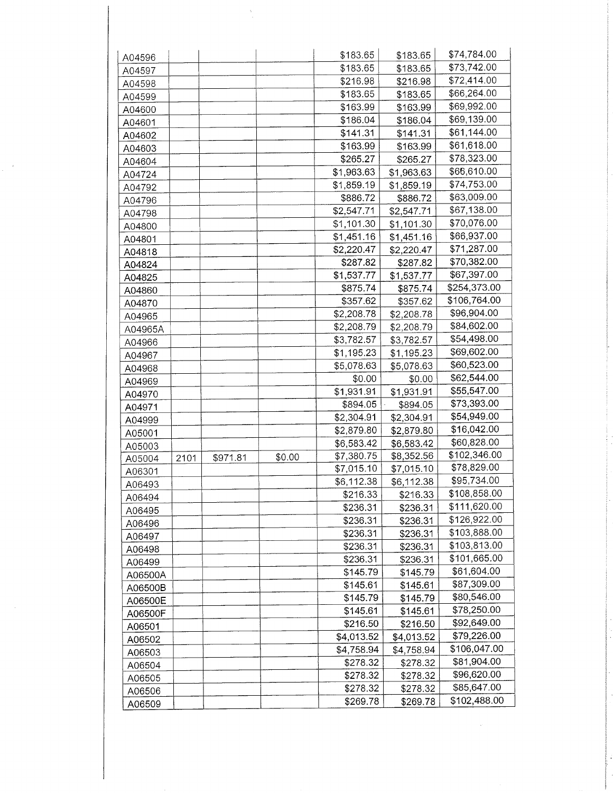| A04596  |      |          |        | \$183.65   | \$183.65   | \$74,784.00  |
|---------|------|----------|--------|------------|------------|--------------|
| A04597  |      |          |        | \$183.65   | \$183.65   | \$73,742.00  |
| A04598  |      |          |        | \$216.98   | \$216.98   | \$72,414.00  |
| A04599  |      |          |        | \$183.65   | \$183.65   | \$66,264.00  |
| A04600  |      |          |        | \$163.99   | \$163.99   | \$69,992.00  |
|         |      |          |        | \$186.04   | \$186.04   | \$69,139.00  |
| A04601  |      |          |        | \$141.31   | \$141.31   | \$61,144.00  |
| A04602  |      |          |        | \$163.99   | \$163.99   | \$61,618.00  |
| A04603  |      |          |        | \$265.27   | \$265.27   | \$78,323.00  |
| A04604  |      |          |        | \$1,963.63 | \$1,963.63 | \$66,610.00  |
| A04724  |      |          |        | \$1,859.19 | \$1,859.19 | \$74,753.00  |
| A04792  |      |          |        | \$886.72   |            | \$63,009.00  |
| A04796  |      |          |        |            | \$886.72   | \$67,138.00  |
| A04798  |      |          |        | \$2,547.71 | \$2,547.71 | \$70,076.00  |
| A04800  |      |          |        | \$1,101.30 | \$1,101.30 | \$66,937.00  |
| A04801  |      |          |        | \$1,451.16 | \$1,451.16 |              |
| A04818  |      |          |        | \$2,220.47 | \$2,220.47 | \$71,287.00  |
| A04824  |      |          |        | \$287.82   | \$287.82   | \$70,382.00  |
| A04825  |      |          |        | \$1,537.77 | \$1,537.77 | \$67,397.00  |
| A04860  |      |          |        | \$875.74   | \$875.74   | \$254,373.00 |
| A04870  |      |          |        | \$357.62   | \$357.62   | \$106,764.00 |
| A04965  |      |          |        | \$2,208.78 | \$2,208.78 | \$96,904.00  |
| A04965A |      |          |        | \$2,208.79 | \$2,208.79 | \$84,602.00  |
| A04966  |      |          |        | \$3,782.57 | \$3,782.57 | \$54,498.00  |
| A04967  |      |          |        | \$1,195.23 | \$1,195.23 | \$69,602.00  |
| A04968  |      |          |        | \$5,078.63 | \$5,078.63 | \$60,523.00  |
| A04969  |      |          |        | \$0.00     | \$0.00     | \$62,544.00  |
| A04970  |      |          |        | \$1,931.91 | \$1,931.91 | \$55,547.00  |
| A04971  |      |          |        | \$894.05   | \$894.05   | \$73,393.00  |
| A04999  |      |          |        | \$2,304.91 | \$2,304.91 | \$54,949.00  |
| A05001  |      |          |        | \$2,879.80 | \$2,879.80 | \$16,042.00  |
| A05003  |      |          |        | \$6,583.42 | \$6,583.42 | \$60,828.00  |
| A05004  | 2101 | \$971.81 | \$0.00 | \$7,380.75 | \$8,352.56 | \$102,346.00 |
| A06301  |      |          |        | \$7,015.10 | \$7,015.10 | \$78,829.00  |
| A06493  |      |          |        | \$6,112.38 | \$6,112.38 | \$95,734.00  |
| A06494  |      |          |        | \$216.33   | \$216.33   | \$108,858.00 |
| A06495  |      |          |        | \$236.31   | \$236.31   | \$111,620.00 |
| A06496  |      |          |        | \$236.31   | \$236.31   | \$126,922.00 |
| A06497  |      |          |        | \$236.31   | \$236.31   | \$103,888.00 |
| A06498  |      |          |        | \$236.31   | \$236.31   | \$103,813.00 |
| A06499  |      |          |        | \$236.31   | \$236.31   | \$101,665.00 |
| A06500A |      |          |        | \$145.79   | \$145.79   | \$61,604.00  |
| A06500B |      |          |        | \$145.61   | \$145.61   | \$87,309.00  |
| A06500E |      |          |        | \$145.79   | \$145.79   | \$80,546.00  |
|         |      |          |        | \$145.61   | \$145.61   | \$78,250.00  |
| A06500F |      |          |        | \$216.50   | \$216.50   | \$92,649.00  |
| A06501  |      |          |        | \$4,013.52 | \$4,013.52 | \$79,226.00  |
| A06502  |      |          |        | \$4,758.94 | \$4,758.94 | \$106,047.00 |
| A06503  |      |          |        | \$278.32   | \$278.32   | \$81,904.00  |
| A06504  |      |          |        | \$278.32   | \$278.32   | \$96,620.00  |
| A06505  |      |          |        | \$278.32   | \$278.32   | \$85,647.00  |
| A06506  |      |          |        | \$269.78   | \$269.78   | \$102,488.00 |
| A06509  |      |          |        |            |            |              |

 $\frac{1}{2}$ 

 $\frac{1}{2} \frac{d}{dt}$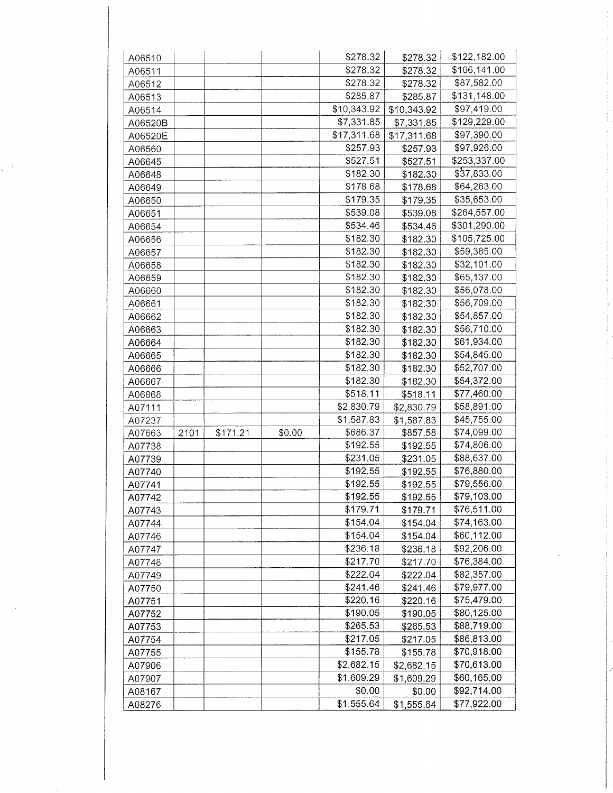| A06510  |      |          |        | \$278.32    | \$278.32    | \$122,182.00 |
|---------|------|----------|--------|-------------|-------------|--------------|
| A06511  |      |          |        | \$278.32    | \$278.32    | \$106,141.00 |
| A06512  |      |          |        | \$278.32    | \$278.32    | \$87,582.00  |
| A06513  |      |          |        | \$285.87    | \$285.87    | \$131,148.00 |
| A06514  |      |          |        | \$10,343.92 | \$10,343.92 | \$97,419.00  |
| A06520B |      |          |        | \$7,331.85  | \$7,331.85  | \$129,229.00 |
| A06520E |      |          |        | \$17,311.68 | \$17,311.68 | \$97,390.00  |
| A06560  |      |          |        | \$257.93    | \$257.93    | \$97,926.00  |
| A06645  |      |          |        | \$527.51    | \$527.51    | \$253,337.00 |
| A06648  |      |          |        | \$182.30    | \$182.30    | \$37,833.00  |
| A06649  |      |          |        | \$178.68    | \$178.68    | \$64,263.00  |
|         |      |          |        | \$179.35    | \$179.35    | \$35,653.00  |
| A06650  |      |          |        | \$539.08    | \$539.08    | \$264,557.00 |
| A06651  |      |          |        | \$534.46    |             | \$301,290.00 |
| A06654  |      |          |        |             | \$534.46    |              |
| A06656  |      |          |        | \$182.30    | \$182.30    | \$105,725.00 |
| A06657  |      |          |        | \$182.30    | \$182.30    | \$59,385.00  |
| A06658  |      |          |        | \$182.30    | \$182.30    | \$32,101.00  |
| A06659  |      |          |        | \$182.30    | \$182.30    | \$65,137.00  |
| A06660  |      |          |        | \$182.30    | \$182.30    | \$56,078.00  |
| A06661  |      |          |        | \$182.30    | \$182.30    | \$56,709.00  |
| A06662  |      |          |        | \$182.30    | \$182.30    | \$54,857.00  |
| A06663  |      |          |        | \$182.30    | \$182.30    | \$56,710.00  |
| A06664  |      |          |        | \$182.30    | \$182.30    | \$61,934.00  |
| A06665  |      |          |        | \$182.30    | \$182.30    | \$54,845.00  |
| A06666  |      |          |        | \$182.30    | \$182.30    | \$52,707.00  |
| A06667  |      |          |        | \$182.30    | \$182.30    | \$54,372.00  |
| A06868  |      |          |        | \$518.11    | \$518.11    | \$77,460.00  |
| A07111  |      |          |        | \$2,830.79  | \$2,830.79  | \$58,891.00  |
| A07237  |      |          |        | \$1,587.83  | \$1,587.83  | \$45,755.00  |
| A07663  | 2101 | \$171.21 | \$0.00 | \$686.37    | \$857.58    | \$74,099.00  |
| A07738  |      |          |        | \$192.55    | \$192.55    | \$74,806.00  |
| A07739  |      |          |        | \$231.05    | \$231.05    | \$88,637.00  |
| A07740  |      |          |        | \$192.55    | \$192.55    | \$76,880.00  |
| A07741  |      |          |        | \$192.55    | \$192.55    | \$79,556.00  |
| A07742  |      |          |        | \$192.55    | \$192.55    | \$79,103.00  |
| A07743  |      |          |        | \$179.71    | \$179.71    | \$76,511.00  |
| A07744  |      |          |        | \$154.04    | \$154.04    | \$74,163.00  |
| A07746  |      |          |        | \$154.04    | \$154.04    | \$60,112.00  |
| A07747  |      |          |        | \$236.18    | \$236.18    | \$92,206.00  |
| A07748  |      |          |        | \$217.70    | \$217.70    | \$76,384.00  |
| A07749  |      |          |        | \$222.04    | \$222.04    | \$82,357.00  |
| A07750  |      |          |        | \$241.46    | \$241.46    | \$79,977.00  |
| A07751  |      |          |        | \$220.16    | \$220.16    | \$75,479.00  |
| A07752  |      |          |        | \$190.05    | \$190.05    | \$80,125.00  |
| A07753  |      |          |        | \$265.53    | \$265.53    | \$88,719.00  |
| A07754  |      |          |        | \$217.05    | \$217.05    | \$86,813.00  |
|         |      |          |        | \$155.78    |             | \$70,918.00  |
| A07755  |      |          |        | \$2,682.15  | \$155.78    |              |
| A07906  |      |          |        |             | \$2,682.15  | \$70,613.00  |
| A07907  |      |          |        | \$1,609.29  | \$1,609.29  | \$60,165.00  |
| A08167  |      |          |        | \$0.00      | \$0.00      | \$92,714.00  |
| A08276  |      |          |        | \$1,555.64  | \$1,555.64  | \$77,922.00  |

 $\epsilon$  ,  $\epsilon'$ 

 $\frac{1}{\sqrt{2}}\left(\frac{1}{\sqrt{2}}\right)^{2}$ 

 $\sim$  .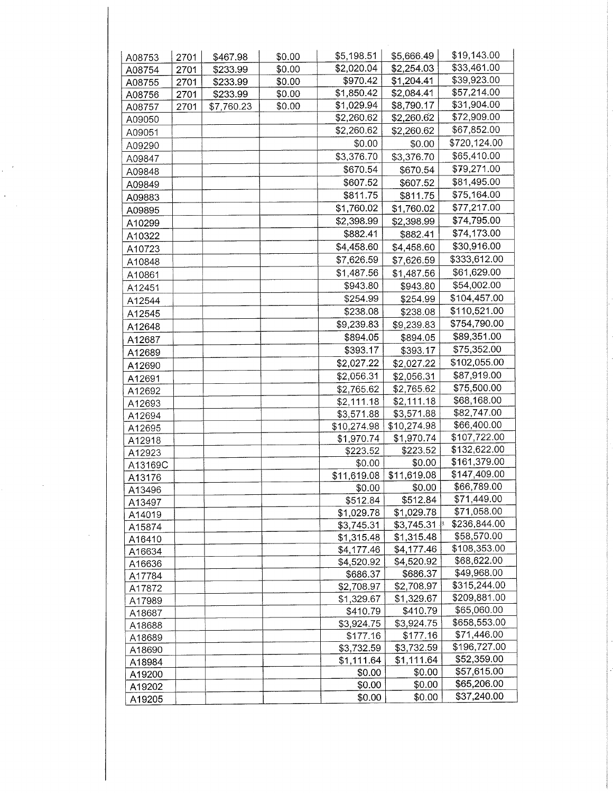| A08753  | 2701 | \$467.98   | \$0.00 | \$5,198.51  | \$5,666.49  | \$19,143.00  |
|---------|------|------------|--------|-------------|-------------|--------------|
| A08754  | 2701 | \$233.99   | \$0.00 | \$2,020.04  | \$2,254.03  | \$33,461.00  |
| A08755  | 2701 | \$233.99   | \$0.00 | \$970.42    | \$1,204.41  | \$39,923.00  |
| A08756  | 2701 | \$233.99   | \$0.00 | \$1,850.42  | \$2,084.41  | \$57,214.00  |
| A08757  | 2701 | \$7,760.23 | \$0.00 | \$1,029.94  | \$8,790.17  | \$31,904.00  |
| A09050  |      |            |        | \$2,260.62  | \$2,260.62  | \$72,909.00  |
| A09051  |      |            |        | \$2,260.62  | \$2,260.62  | \$67,852.00  |
| A09290  |      |            |        | \$0.00      | \$0.00      | \$720,124.00 |
| A09847  |      |            |        | \$3,376.70  | \$3,376.70  | \$65,410.00  |
| A09848  |      |            |        | \$670.54    | \$670.54    | \$79,271.00  |
| A09849  |      |            |        | \$607.52    | \$607.52    | \$81,495.00  |
| A09883  |      |            |        | \$811.75    | \$811.75    | \$75,164.00  |
|         |      |            |        | \$1,760.02  | \$1,760.02  | \$77,217.00  |
| A09895  |      |            |        | \$2,398.99  | \$2,398.99  | \$74,795.00  |
| A10299  |      |            |        | \$882.41    | \$882.41    | \$74,173.00  |
| A10322  |      |            |        | \$4,458.60  | \$4,458.60  | \$30,916.00  |
| A10723  |      |            |        | \$7,626.59  |             | \$333,612.00 |
| A10848  |      |            |        |             | \$7,626.59  |              |
| A10861  |      |            |        | \$1,487.56  | \$1,487.56  | \$61,629.00  |
| A12451  |      |            |        | \$943.80    | \$943.80    | \$54,002.00  |
| A12544  |      |            |        | \$254.99    | \$254.99    | \$104,457.00 |
| A12545  |      |            |        | \$238.08    | \$238.08    | \$110,521.00 |
| A12648  |      |            |        | \$9,239.83  | \$9,239.83  | \$754,790.00 |
| A12687  |      |            |        | \$894.05    | \$894.05    | \$89,351.00  |
| A12689  |      |            |        | \$393.17    | \$393.17    | \$75,352.00  |
| A12690  |      |            |        | \$2,027.22  | \$2,027.22  | \$102,055.00 |
| A12691  |      |            |        | \$2,056.31  | \$2,056.31  | \$87,919.00  |
| A12692  |      |            |        | \$2,765.62  | \$2,765.62  | \$75,500.00  |
| A12693  |      |            |        | \$2,111.18  | \$2,111.18  | \$68,168.00  |
| A12694  |      |            |        | \$3,571.88  | \$3,571.88  | \$82,747.00  |
| A12695  |      |            |        | \$10,274.98 | \$10,274.98 | \$66,400.00  |
| A12918  |      |            |        | \$1,970.74  | \$1,970.74  | \$107,722.00 |
| A12923  |      |            |        | \$223.52    | \$223.52    | \$132,622.00 |
| A13169C |      |            |        | \$0.00      | \$0.00      | \$161,379.00 |
| A13176  |      |            |        | \$11,619.08 | \$11,619.08 | \$147,409.00 |
| A13496  |      |            |        | \$0.00      | \$0.00      | \$66,789.00  |
| A13497  |      |            |        | \$512.84    | \$512.84    | \$71,449.00  |
| A14019  |      |            |        | \$1,029.78  | \$1,029.78  | \$71,058.00  |
| A15874  |      |            |        | \$3,745.31  | \$3,745.31  | \$236,844.00 |
| A16410  |      |            |        | \$1,315.48  | \$1,315.48  | \$58,570.00  |
| A16634  |      |            |        | \$4,177.46  | \$4,177.46  | \$108,353.00 |
| A16636  |      |            |        | \$4,520.92  | \$4,520.92  | \$68,622.00  |
| A17784  |      |            |        | \$686.37    | \$686.37    | \$49,968.00  |
| A17872  |      |            |        | \$2,708.97  | \$2,708.97  | \$315,244.00 |
| A17989  |      |            |        | \$1,329.67  | \$1,329.67  | \$209,881.00 |
| A18687  |      |            |        | \$410.79    | \$410.79    | \$65,060.00  |
| A18688  |      |            |        | \$3,924.75  | \$3,924.75  | \$658,553.00 |
| A18689  |      |            |        | \$177.16    | \$177.16    | \$71,446.00  |
| A18690  |      |            |        | \$3,732.59  | \$3,732.59  | \$196,727.00 |
| A18984  |      |            |        | \$1,111.64  | \$1,111.64  | \$52,359.00  |
| A19200  |      |            |        | \$0.00      | \$0.00      | \$57,615.00  |
| A19202  |      |            |        | \$0.00      | \$0.00      | \$65,206.00  |
| A19205  |      |            |        | \$0.00      | \$0.00      | \$37,240.00  |

 $\epsilon$ 

 $\frac{1}{\sqrt{2}}$ 

 $\hat{\mathcal{A}}$